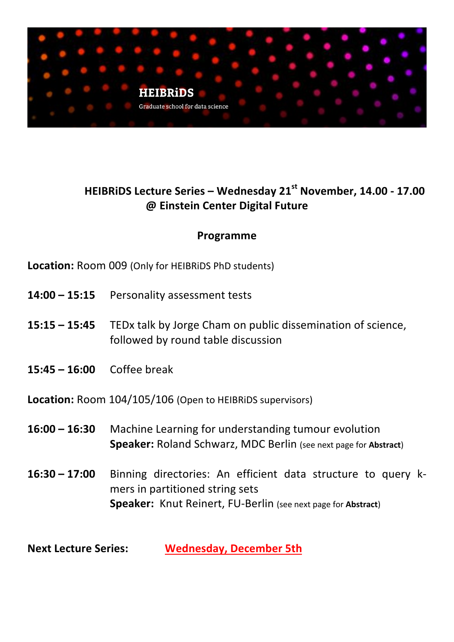

# **HEIBRiDS Lecture Series – Wednesday 21st November, 14.00 - 17.00 @ Einstein Center Digital Future**

### **Programme**

**Location:** Room 009 (Only for HEIBRIDS PhD students)

- **14:00 15:15** Personality assessment tests
- **15:15 15:45** TEDx talk by Jorge Cham on public dissemination of science, followed by round table discussion
- **15:45 – 16:00** Coffee break

**Location:** Room 104/105/106 (Open to HEIBRIDS supervisors)

- **16:00 16:30** Machine Learning for understanding tumour evolution **Speaker:** Roland Schwarz, MDC Berlin (see next page for Abstract)
- **16:30 17:00** Binning directories: An efficient data structure to query kmers in partitioned string sets **Speaker:** Knut Reinert, FU-Berlin (see next page for Abstract)

**Next Lecture Series: Wednesday, December 5th**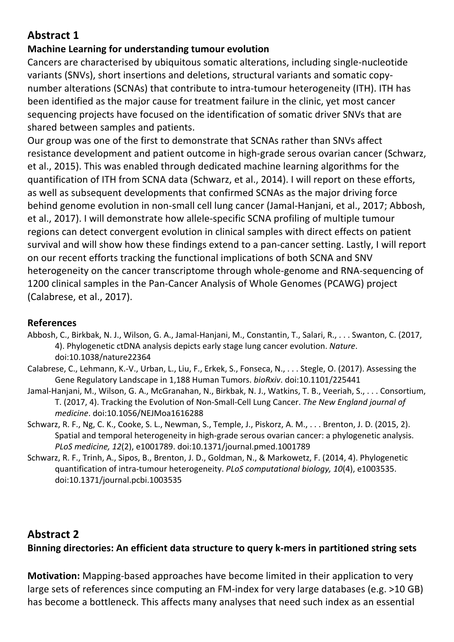## **Abstract 1**

#### **Machine Learning for understanding tumour evolution**

Cancers are characterised by ubiquitous somatic alterations, including single-nucleotide variants (SNVs), short insertions and deletions, structural variants and somatic copynumber alterations (SCNAs) that contribute to intra-tumour heterogeneity (ITH). ITH has been identified as the major cause for treatment failure in the clinic, yet most cancer sequencing projects have focused on the identification of somatic driver SNVs that are shared between samples and patients.

Our group was one of the first to demonstrate that SCNAs rather than SNVs affect resistance development and patient outcome in high-grade serous ovarian cancer (Schwarz, et al., 2015). This was enabled through dedicated machine learning algorithms for the quantification of ITH from SCNA data (Schwarz, et al., 2014). I will report on these efforts, as well as subsequent developments that confirmed SCNAs as the major driving force behind genome evolution in non-small cell lung cancer (Jamal-Hanjani, et al., 2017; Abbosh, et al., 2017). I will demonstrate how allele-specific SCNA profiling of multiple tumour regions can detect convergent evolution in clinical samples with direct effects on patient survival and will show how these findings extend to a pan-cancer setting. Lastly, I will report on our recent efforts tracking the functional implications of both SCNA and SNV heterogeneity on the cancer transcriptome through whole-genome and RNA-sequencing of 1200 clinical samples in the Pan-Cancer Analysis of Whole Genomes (PCAWG) project (Calabrese, et al., 2017).

#### **References**

- Abbosh, C., Birkbak, N. J., Wilson, G. A., Jamal-Hanjani, M., Constantin, T., Salari, R., ... Swanton, C. (2017, 4). Phylogenetic ctDNA analysis depicts early stage lung cancer evolution. *Nature*. doi:10.1038/nature22364
- Calabrese, C., Lehmann, K.-V., Urban, L., Liu, F., Erkek, S., Fonseca, N., . . . Stegle, O. (2017). Assessing the Gene Regulatory Landscape in 1,188 Human Tumors. *bioRxiv*. doi:10.1101/225441
- Jamal-Hanjani, M., Wilson, G. A., McGranahan, N., Birkbak, N. J., Watkins, T. B., Veeriah, S., . . . Consortium, T. (2017, 4). Tracking the Evolution of Non-Small-Cell Lung Cancer. *The New England journal of medicine*. doi:10.1056/NEJMoa1616288
- Schwarz, R. F., Ng, C. K., Cooke, S. L., Newman, S., Temple, J., Piskorz, A. M., . . . Brenton, J. D. (2015, 2). Spatial and temporal heterogeneity in high-grade serous ovarian cancer: a phylogenetic analysis. *PLoS medicine, 12*(2), e1001789. doi:10.1371/journal.pmed.1001789
- Schwarz, R. F., Trinh, A., Sipos, B., Brenton, J. D., Goldman, N., & Markowetz, F. (2014, 4). Phylogenetic quantification of intra-tumour heterogeneity. *PLoS computational biology, 10*(4), e1003535. doi:10.1371/journal.pcbi.1003535

### **Abstract 2**

#### **Binning directories: An efficient data structure to query k-mers in partitioned string sets**

**Motivation:** Mapping-based approaches have become limited in their application to very large sets of references since computing an FM-index for very large databases (e.g. >10 GB) has become a bottleneck. This affects many analyses that need such index as an essential